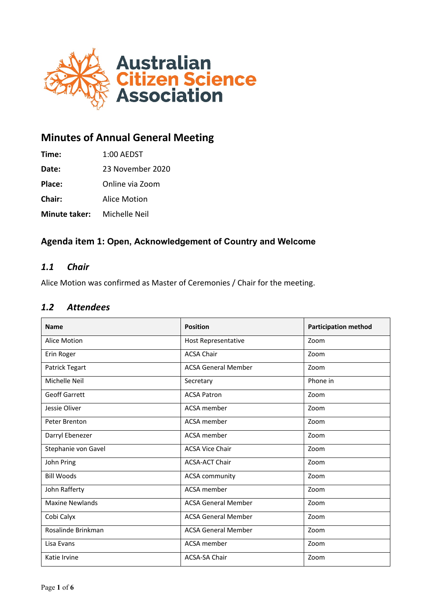

# **Minutes of Annual General Meeting**

**Time:** 1:00 AEDST

**Date:** 23 November 2020

**Place:** Online via Zoom

**Chair:** Alice Motion

**Minute taker:** Michelle Neil

# **Agenda item 1: Open, Acknowledgement of Country and Welcome**

# *1.1 Chair*

Alice Motion was confirmed as Master of Ceremonies / Chair for the meeting.

#### *1.2 Attendees*

| <b>Name</b>            | <b>Position</b>            | <b>Participation method</b> |
|------------------------|----------------------------|-----------------------------|
| Alice Motion           | <b>Host Representative</b> | Zoom                        |
| Erin Roger             | <b>ACSA Chair</b>          | Zoom                        |
| Patrick Tegart         | <b>ACSA General Member</b> | Zoom                        |
| Michelle Neil          | Secretary                  | Phone in                    |
| <b>Geoff Garrett</b>   | <b>ACSA Patron</b>         | Zoom                        |
| Jessie Oliver          | ACSA member                | Zoom                        |
| Peter Brenton          | ACSA member                | Zoom                        |
| Darryl Ebenezer        | ACSA member                | Zoom                        |
| Stephanie von Gavel    | <b>ACSA Vice Chair</b>     | Zoom                        |
| John Pring             | <b>ACSA-ACT Chair</b>      | Zoom                        |
| <b>Bill Woods</b>      | <b>ACSA community</b>      | Zoom                        |
| John Rafferty          | ACSA member                | Zoom                        |
| <b>Maxine Newlands</b> | <b>ACSA General Member</b> | Zoom                        |
| Cobi Calyx             | <b>ACSA General Member</b> | Zoom                        |
| Rosalinde Brinkman     | <b>ACSA General Member</b> | Zoom                        |
| Lisa Evans             | ACSA member                | Zoom                        |
| Katie Irvine           | <b>ACSA-SA Chair</b>       | Zoom                        |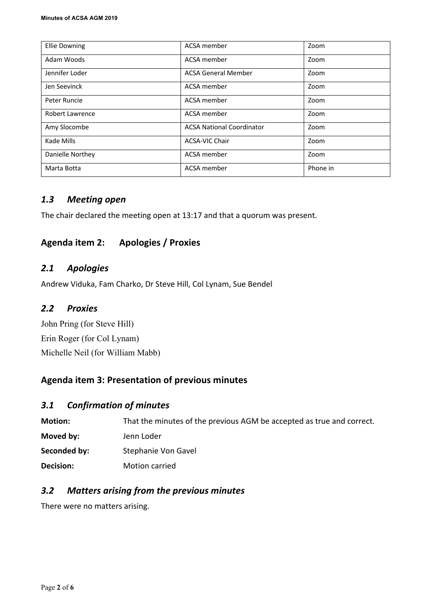| <b>Ellie Downing</b> | ACSA member                      | Zoom     |
|----------------------|----------------------------------|----------|
| Adam Woods           | ACSA member                      | Zoom     |
| Jennifer Loder       | <b>ACSA General Member</b>       | Zoom     |
| Jen Seevinck         | ACSA member                      | Zoom     |
| Peter Runcie         | ACSA member                      | Zoom     |
| Robert Lawrence      | ACSA member                      | Zoom     |
| Amy Slocombe         | <b>ACSA National Coordinator</b> | Zoom     |
| Kade Mills           | <b>ACSA-VIC Chair</b>            | Zoom     |
| Danielle Northey     | ACSA member                      | Zoom     |
| Marta Botta          | ACSA member                      | Phone in |

# *1.3 Meeting open*

The chair declared the meeting open at 13:17 and that a quorum was present.

# **Agenda item 2: Apologies / Proxies**

# *2.1 Apologies*

Andrew Viduka, Fam Charko, Dr Steve Hill, Col Lynam, Sue Bendel

# *2.2 Proxies*

John Pring (for Steve Hill) Erin Roger (for Col Lynam) Michelle Neil (for William Mabb)

# **Agenda item 3: Presentation of previous minutes**

#### *3.1 Confirmation of minutes*

| <b>Motion:</b>   | That the minutes of the previous AGM be accepted as true and correct. |
|------------------|-----------------------------------------------------------------------|
| Moved by:        | Jenn Loder                                                            |
| Seconded by:     | Stephanie Von Gavel                                                   |
| <b>Decision:</b> | Motion carried                                                        |

# *3.2 Matters arising from the previous minutes*

There were no matters arising.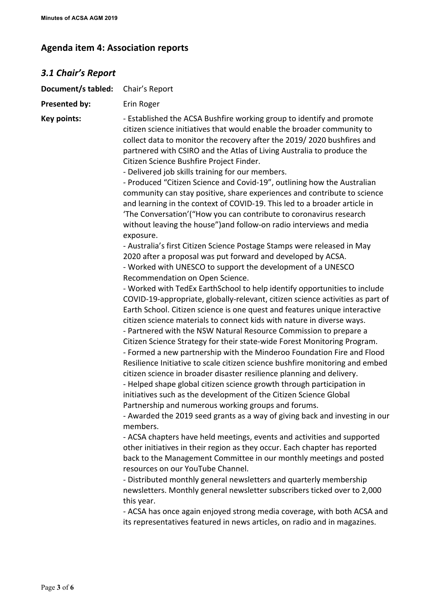# **Agenda item 4: Association reports**

| <b>3.1 Chair's Report</b> |                                                                                                                                                                                                                                                                                                                                                                                                                                                                                                                                                                                                                                                                                                                                                                                                                                                                                                                                                                                                                                                                                                                                                                                                                                                                                                                                                                                                                                                                                                                                                                                                                                                                                                                                                                                                                                                                                                                                                                                                                                                                                                                                                                                                                                                                                                                                                                                                                                                                                                                                                                                                                                                        |
|---------------------------|--------------------------------------------------------------------------------------------------------------------------------------------------------------------------------------------------------------------------------------------------------------------------------------------------------------------------------------------------------------------------------------------------------------------------------------------------------------------------------------------------------------------------------------------------------------------------------------------------------------------------------------------------------------------------------------------------------------------------------------------------------------------------------------------------------------------------------------------------------------------------------------------------------------------------------------------------------------------------------------------------------------------------------------------------------------------------------------------------------------------------------------------------------------------------------------------------------------------------------------------------------------------------------------------------------------------------------------------------------------------------------------------------------------------------------------------------------------------------------------------------------------------------------------------------------------------------------------------------------------------------------------------------------------------------------------------------------------------------------------------------------------------------------------------------------------------------------------------------------------------------------------------------------------------------------------------------------------------------------------------------------------------------------------------------------------------------------------------------------------------------------------------------------------------------------------------------------------------------------------------------------------------------------------------------------------------------------------------------------------------------------------------------------------------------------------------------------------------------------------------------------------------------------------------------------------------------------------------------------------------------------------------------------|
| Document/s tabled:        | Chair's Report                                                                                                                                                                                                                                                                                                                                                                                                                                                                                                                                                                                                                                                                                                                                                                                                                                                                                                                                                                                                                                                                                                                                                                                                                                                                                                                                                                                                                                                                                                                                                                                                                                                                                                                                                                                                                                                                                                                                                                                                                                                                                                                                                                                                                                                                                                                                                                                                                                                                                                                                                                                                                                         |
| Presented by:             | Erin Roger                                                                                                                                                                                                                                                                                                                                                                                                                                                                                                                                                                                                                                                                                                                                                                                                                                                                                                                                                                                                                                                                                                                                                                                                                                                                                                                                                                                                                                                                                                                                                                                                                                                                                                                                                                                                                                                                                                                                                                                                                                                                                                                                                                                                                                                                                                                                                                                                                                                                                                                                                                                                                                             |
| Key points:               | - Established the ACSA Bushfire working group to identify and promote<br>citizen science initiatives that would enable the broader community to<br>collect data to monitor the recovery after the 2019/2020 bushfires and<br>partnered with CSIRO and the Atlas of Living Australia to produce the<br>Citizen Science Bushfire Project Finder.<br>- Delivered job skills training for our members.<br>- Produced "Citizen Science and Covid-19", outlining how the Australian<br>community can stay positive, share experiences and contribute to science<br>and learning in the context of COVID-19. This led to a broader article in<br>'The Conversation'("How you can contribute to coronavirus research<br>without leaving the house") and follow-on radio interviews and media<br>exposure.<br>- Australia's first Citizen Science Postage Stamps were released in May<br>2020 after a proposal was put forward and developed by ACSA.<br>- Worked with UNESCO to support the development of a UNESCO<br>Recommendation on Open Science.<br>- Worked with TedEx EarthSchool to help identify opportunities to include<br>COVID-19-appropriate, globally-relevant, citizen science activities as part of<br>Earth School. Citizen science is one quest and features unique interactive<br>citizen science materials to connect kids with nature in diverse ways.<br>- Partnered with the NSW Natural Resource Commission to prepare a<br>Citizen Science Strategy for their state-wide Forest Monitoring Program.<br>- Formed a new partnership with the Minderoo Foundation Fire and Flood<br>Resilience Initiative to scale citizen science bushfire monitoring and embed<br>citizen science in broader disaster resilience planning and delivery.<br>- Helped shape global citizen science growth through participation in<br>initiatives such as the development of the Citizen Science Global<br>Partnership and numerous working groups and forums.<br>- Awarded the 2019 seed grants as a way of giving back and investing in our<br>members.<br>- ACSA chapters have held meetings, events and activities and supported<br>other initiatives in their region as they occur. Each chapter has reported<br>back to the Management Committee in our monthly meetings and posted<br>resources on our YouTube Channel.<br>- Distributed monthly general newsletters and quarterly membership<br>newsletters. Monthly general newsletter subscribers ticked over to 2,000<br>this year.<br>- ACSA has once again enjoyed strong media coverage, with both ACSA and<br>its representatives featured in news articles, on radio and in magazines. |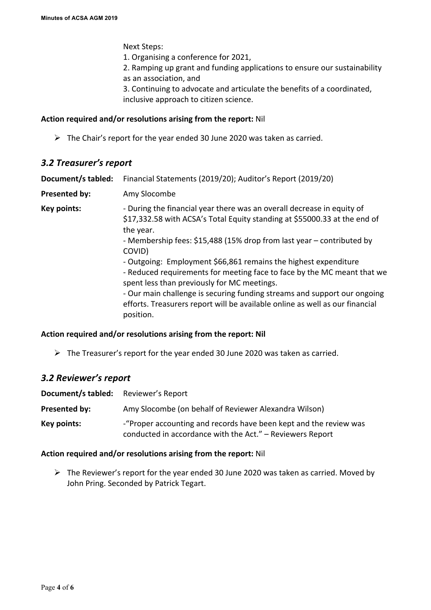Next Steps:

1. Organising a conference for 2021,

2. Ramping up grant and funding applications to ensure our sustainability as an association, and

3. Continuing to advocate and articulate the benefits of a coordinated, inclusive approach to citizen science.

#### **Action required and/or resolutions arising from the report:** Nil

 $\triangleright$  The Chair's report for the year ended 30 June 2020 was taken as carried.

#### *3.2 Treasurer's report*

| Document/s tabled:   | Financial Statements (2019/20); Auditor's Report (2019/20)                                                                                                                                                                                                                                                                                                                                                                                                                                                                                                                                                                |
|----------------------|---------------------------------------------------------------------------------------------------------------------------------------------------------------------------------------------------------------------------------------------------------------------------------------------------------------------------------------------------------------------------------------------------------------------------------------------------------------------------------------------------------------------------------------------------------------------------------------------------------------------------|
| <b>Presented by:</b> | Amy Slocombe                                                                                                                                                                                                                                                                                                                                                                                                                                                                                                                                                                                                              |
| <b>Key points:</b>   | - During the financial year there was an overall decrease in equity of<br>\$17,332.58 with ACSA's Total Equity standing at \$55000.33 at the end of<br>the year.<br>- Membership fees: \$15,488 (15% drop from last year – contributed by<br>COVID)<br>- Outgoing: Employment \$66,861 remains the highest expenditure<br>- Reduced requirements for meeting face to face by the MC meant that we<br>spent less than previously for MC meetings.<br>- Our main challenge is securing funding streams and support our ongoing<br>efforts. Treasurers report will be available online as well as our financial<br>position. |

#### **Action required and/or resolutions arising from the report: Nil**

 $\triangleright$  The Treasurer's report for the year ended 30 June 2020 was taken as carried.

# *3.2 Reviewer's report*

| Document/s tabled: | Reviewer's Report                                                                                                              |
|--------------------|--------------------------------------------------------------------------------------------------------------------------------|
| Presented by:      | Amy Slocombe (on behalf of Reviewer Alexandra Wilson)                                                                          |
| Key points:        | -"Proper accounting and records have been kept and the review was<br>conducted in accordance with the Act." - Reviewers Report |

#### **Action required and/or resolutions arising from the report:** Nil

 $\triangleright$  The Reviewer's report for the year ended 30 June 2020 was taken as carried. Moved by John Pring. Seconded by Patrick Tegart.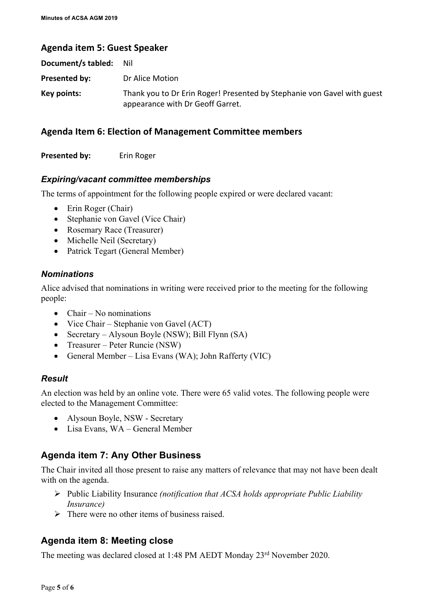### **Agenda item 5: Guest Speaker**

| Document/s tabled: | Nil                                                                                                         |
|--------------------|-------------------------------------------------------------------------------------------------------------|
| Presented by:      | Dr Alice Motion                                                                                             |
| Key points:        | Thank you to Dr Erin Roger! Presented by Stephanie von Gavel with guest<br>appearance with Dr Geoff Garret. |

# **Agenda Item 6: Election of Management Committee members**

**Presented by:** Erin Roger

#### *Expiring/vacant committee memberships*

The terms of appointment for the following people expired or were declared vacant:

- Erin Roger (Chair)
- Stephanie von Gavel (Vice Chair)
- Rosemary Race (Treasurer)
- Michelle Neil (Secretary)
- Patrick Tegart (General Member)

#### *Nominations*

Alice advised that nominations in writing were received prior to the meeting for the following people:

- $\bullet$  Chair No nominations
- Vice Chair Stephanie von Gavel (ACT)
- Secretary Alysoun Boyle (NSW); Bill Flynn (SA)
- Treasurer Peter Runcie (NSW)
- General Member Lisa Evans (WA); John Rafferty (VIC)

#### *Result*

An election was held by an online vote. There were 65 valid votes. The following people were elected to the Management Committee:

- Alysoun Boyle, NSW Secretary
- Lisa Evans, WA General Member

# **Agenda item 7: Any Other Business**

The Chair invited all those present to raise any matters of relevance that may not have been dealt with on the agenda.

- Ø Public Liability Insurance *(notification that ACSA holds appropriate Public Liability Insurance)*
- $\triangleright$  There were no other items of business raised.

# **Agenda item 8: Meeting close**

The meeting was declared closed at 1:48 PM AEDT Monday 23<sup>rd</sup> November 2020.